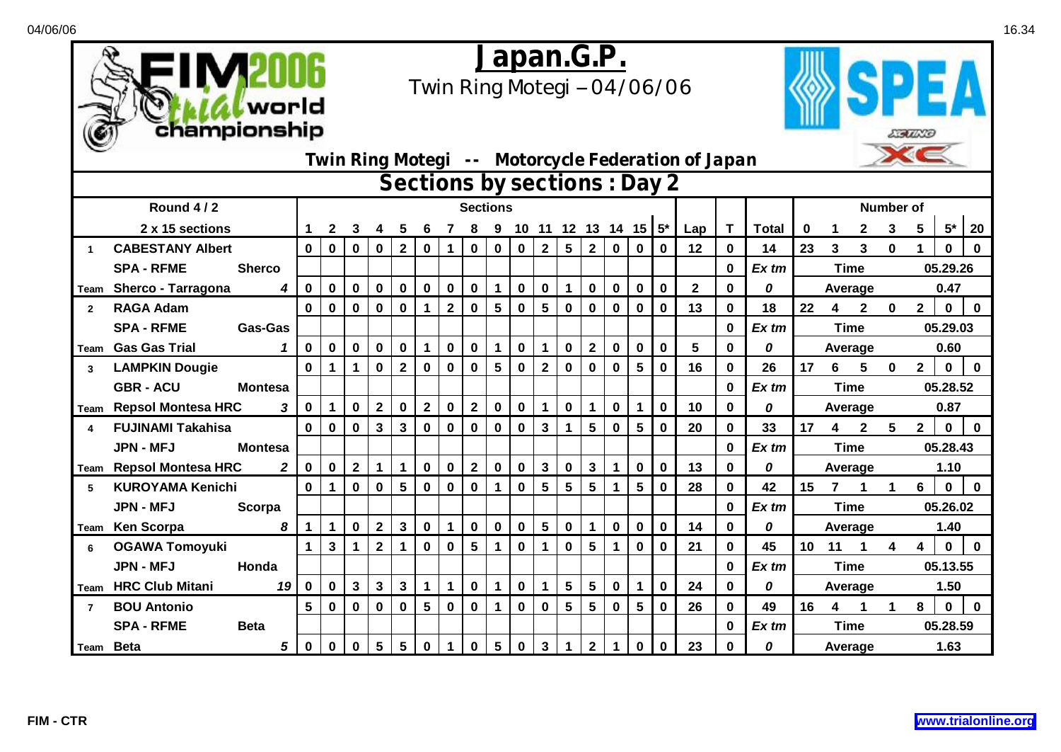

## *Japan.G.P.*

*Twin Ring Motegi -- 04/06/06*



| Sections by sections : Day 2 |                                     |              |                 |             |              |                 |                 |                 |             |              |                 |             |                         |                 |              |             |                         |             |              |             |         |    |                  |              |             |                         |             |             |
|------------------------------|-------------------------------------|--------------|-----------------|-------------|--------------|-----------------|-----------------|-----------------|-------------|--------------|-----------------|-------------|-------------------------|-----------------|--------------|-------------|-------------------------|-------------|--------------|-------------|---------|----|------------------|--------------|-------------|-------------------------|-------------|-------------|
|                              | Round 4/2                           |              |                 |             |              |                 |                 |                 |             |              | <b>Sections</b> |             |                         |                 |              |             |                         |             |              |             |         |    | <b>Number of</b> |              |             |                         |             |             |
|                              | 2 x 15 sections                     |              |                 | 2           | 3            |                 | 5               |                 |             |              | 9               | 10          |                         |                 |              |             | 11 12 13 14 15 $5^*$    |             | Lap          | T           | Total   | 0  |                  | 2            | 3           | 5                       | $5^{\star}$ | 20          |
| 1                            | <b>CABESTANY Albert</b>             |              | $\bf{0}$        | $\mathbf 0$ | 0            | $\mathbf{0}$    | $\mathbf{2}$    | $\mathbf 0$     | 1           | $\mathbf 0$  | $\bf{0}$        | $\mathbf 0$ | $\mathbf{2}$            | $5\phantom{.0}$ | $\mathbf 2$  | $\mathbf 0$ | $\mathbf 0$             | $\mathbf 0$ | 12           | $\bf{0}$    | 14      | 23 | 3                | 3            | $\bf{0}$    |                         | 0           | $\mathbf 0$ |
|                              | <b>SPA - RFME</b><br><b>Sherco</b>  |              |                 |             |              |                 |                 |                 |             |              |                 |             |                         |                 |              |             |                         |             |              | $\bf{0}$    | $Ex$ tm |    |                  | <b>Time</b>  |             |                         | 05.29.26    |             |
| Team                         | Sherco - Tarragona                  | 4            | $\mathbf 0$     | 0           | 0            | 0               | $\mathbf 0$     | $\mathbf 0$     | 0           | $\bf{0}$     | $\mathbf 1$     | $\mathbf 0$ | $\pmb{0}$               |                 | 0            | $\mathbf 0$ | $\mathbf 0$             | 0           | $\mathbf{2}$ | $\mathbf 0$ | 0       |    |                  | Average      |             |                         | 0.47        |             |
| $\overline{2}$               | <b>RAGA Adam</b>                    |              | $\mathbf 0$     | $\mathbf 0$ | $\mathbf 0$  | $\mathbf 0$     | $\bf{0}$        | $\mathbf{1}$    | $\mathbf 2$ | $\bf{0}$     | $\sqrt{5}$      | $\mathbf 0$ | $\overline{\mathbf{5}}$ | $\bf{0}$        | $\mathbf 0$  | $\bf{0}$    | $\bf{0}$                | $\mathbf 0$ | 13           | $\mathbf 0$ | 18      | 22 | 4                | $\mathbf{2}$ | 0           | $\mathbf{2}$            | $\mathbf 0$ | $\bf{0}$    |
|                              | <b>SPA - RFME</b><br><b>Gas-Gas</b> |              |                 |             |              |                 |                 |                 |             |              |                 |             |                         |                 |              |             |                         |             |              | $\mathbf 0$ | Ex tm   |    |                  | <b>Time</b>  |             |                         | 05.29.03    |             |
| Team                         | <b>Gas Gas Trial</b>                |              | $\mathbf 0$     | $\mathbf 0$ | $\mathbf 0$  | $\pmb{0}$       | $\pmb{0}$       | $\mathbf{1}$    | $\pmb{0}$   | $\bf{0}$     | $\mathbf{1}$    | $\pmb{0}$   | $\mathbf{1}$            | $\bf{0}$        | $\mathbf{2}$ | $\bf{0}$    | $\bf{0}$                | $\pmb{0}$   | 5            | $\bf{0}$    | 0       |    |                  | Average      |             |                         | 0.60        |             |
| 3                            | <b>LAMPKIN Dougie</b>               |              | $\mathbf 0$     |             | $\mathbf 1$  | $\bf{0}$        | $\mathbf{2}$    | $\mathbf 0$     | 0           | $\mathbf 0$  | $5\phantom{.0}$ | $\mathbf 0$ | $\mathbf{2}$            | $\mathbf 0$     | $\mathbf 0$  | $\bf{0}$    | 5                       | $\mathbf 0$ | 16           | $\mathbf 0$ | 26      | 17 | 6                | 5            | $\mathbf 0$ | $\mathbf{2}$            | $\mathbf 0$ | $\bf{0}$    |
|                              | <b>GBR - ACU</b><br><b>Montesa</b>  |              |                 |             |              |                 |                 |                 |             |              |                 |             |                         |                 |              |             |                         |             |              | $\bf{0}$    | Ex tm   |    |                  | <b>Time</b>  |             |                         | 05.28.52    |             |
| Team                         | <b>Repsol Montesa HRC</b>           | 3            | $\mathbf 0$     | 1           | $\mathbf 0$  | $\mathbf 2$     | $\pmb{0}$       | $\mathbf{2}$    | $\mathbf 0$ | $\mathbf 2$  | $\bf{0}$        | $\pmb{0}$   | $\mathbf{1}$            | $\mathbf 0$     | 1            | $\mathbf 0$ | 1                       | $\mathbf 0$ | 10           | $\mathbf 0$ | 0       |    | Average          |              | 0.87        |                         |             |             |
| 4                            | <b>FUJINAMI Takahisa</b>            |              | $\mathbf 0$     | $\mathbf 0$ | $\pmb{0}$    | $\mathbf{3}$    | $\mathbf{3}$    | $\mathbf 0$     | $\mathbf 0$ | $\mathbf 0$  | $\mathbf 0$     | $\mathbf 0$ | $\mathbf{3}$            |                 | 5            | $\bf{0}$    | $5\phantom{1}$          | 0           | 20           | $\mathbf 0$ | 33      | 17 | 4                | $\mathbf{2}$ | 5           | $\mathbf{2}$            | $\mathbf 0$ | $\mathbf 0$ |
|                              | <b>JPN - MFJ</b><br><b>Montesa</b>  |              |                 |             |              |                 |                 |                 |             |              |                 |             |                         |                 |              |             |                         |             |              | $\mathbf 0$ | Ex tm   |    |                  | <b>Time</b>  |             |                         | 05.28.43    |             |
| Team                         | <b>Repsol Montesa HRC</b>           | $\mathbf{2}$ | $\mathbf 0$     | $\mathbf 0$ | $\mathbf{2}$ | $\mathbf{1}$    | $\mathbf 1$     | $\mathbf 0$     | $\mathbf 0$ | $\mathbf{2}$ | $\mathbf 0$     | $\pmb{0}$   | $\mathbf{3}$            | $\mathbf 0$     | $\mathbf{3}$ | 1           | $\mathbf 0$             | $\mathbf 0$ | 13           | $\mathbf 0$ | 0       |    |                  | Average      |             |                         | 1.10        |             |
| 5                            | <b>KUROYAMA Kenichi</b>             |              | $\bf{0}$        |             | $\mathbf 0$  | 0               | 5               | $\mathbf 0$     | 0           | $\bf{0}$     |                 | $\mathbf 0$ | 5                       | 5               | 5            |             | 5                       | 0           | 28           | $\bf{0}$    | 42      | 15 | 7                |              | 1           | 6                       | $\mathbf 0$ | $\mathbf 0$ |
|                              | <b>JPN - MFJ</b><br>Scorpa          |              |                 |             |              |                 |                 |                 |             |              |                 |             |                         |                 |              |             |                         |             |              | $\bf{0}$    | Ex tm   |    |                  | <b>Time</b>  |             |                         | 05.26.02    |             |
| Team                         | <b>Ken Scorpa</b>                   | 8            | 1               |             | 0            | $\mathbf 2$     | $\mathbf{3}$    | $\mathbf 0$     | 1           | $\pmb{0}$    | $\pmb{0}$       | $\bf{0}$    | 5                       | $\bf{0}$        |              | $\bf{0}$    | 0                       | 0           | 14           | $\bf{0}$    | 0       |    |                  | Average      |             |                         | 1.40        |             |
| 6                            | <b>OGAWA Tomoyuki</b>               |              | 1.              | 3           | 1            | $\mathbf{2}$    | 1               | $\mathbf 0$     | 0           | 5            | 1               | $\mathbf 0$ | 1                       | 0               | 5            |             | $\mathbf 0$             | $\mathbf 0$ | 21           | $\bf{0}$    | 45      | 10 | 11               | 1            | 4           | $\overline{\mathbf{4}}$ | $\mathbf 0$ | $\mathbf 0$ |
|                              | <b>JPN - MFJ</b><br>Honda           |              |                 |             |              |                 |                 |                 |             |              |                 |             |                         |                 |              |             |                         |             |              | $\bf{0}$    | Ex tm   |    |                  | <b>Time</b>  |             |                         | 05.13.55    |             |
| Team                         | <b>HRC Club Mitani</b>              | 19           | $\mathbf 0$     | 0           | $\mathbf{3}$ | $\mathbf{3}$    | $\mathbf{3}$    | $\mathbf{1}$    | 1           | $\bf{0}$     | $\mathbf{1}$    | $\mathbf 0$ | $\mathbf{1}$            | 5               | 5            | $\mathbf 0$ | -1                      | 0           | 24           | $\mathbf 0$ | 0       |    |                  | Average      |             |                         | 1.50        |             |
| $\overline{7}$               | <b>BOU Antonio</b>                  |              | $5\phantom{.0}$ | 0           | $\mathbf 0$  | $\mathbf 0$     | $\bf{0}$        | $5\phantom{.0}$ | 0           | $\bf{0}$     | $\mathbf{1}$    | $\mathbf 0$ | $\bf{0}$                | 5               | 5            | $\mathbf 0$ | $\overline{\mathbf{5}}$ | $\mathbf 0$ | 26           | $\bf{0}$    | 49      | 16 | 4                |              |             | 8                       | $\mathbf 0$ | $\bf{0}$    |
|                              | <b>SPA - RFME</b><br><b>Beta</b>    |              |                 |             |              |                 |                 |                 |             |              |                 |             |                         |                 |              |             |                         |             |              | $\mathbf 0$ | Ex tm   |    |                  | <b>Time</b>  |             |                         | 05.28.59    |             |
| Team Beta                    |                                     | 5            | $\mathbf 0$     | 0           | $\mathbf 0$  | $5\phantom{.0}$ | $5\phantom{.0}$ | $\mathbf 0$     | 1           | $\mathbf 0$  | $5\phantom{.0}$ | $\pmb{0}$   | $\overline{\mathbf{3}}$ |                 | $\mathbf 2$  | 1           | $\mathbf 0$             | $\pmb{0}$   | 23           | $\bf{0}$    | 0       |    |                  | Average      |             |                         | 1.63        |             |

*Twin Ring Motegi -- Motorcycle Federation of Japan*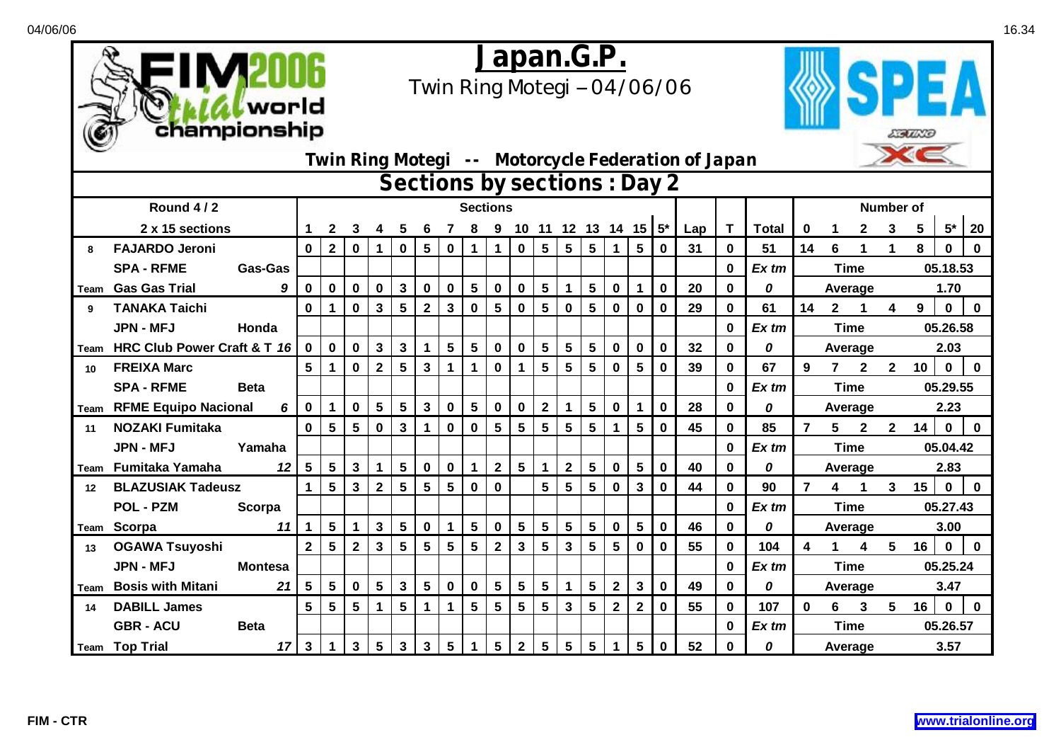

## *Japan.G.P.*

*Twin Ring Motegi -- 04/06/06*



|      |                             |                |              |              |                 |                 |                              |                 |                 |              |                 |                 |                 |                      |                |                         |              |             | Twin Ring Motegi -- Motorcycle Federation of Japan |              |              |          |                 |              |                  | XS       |              |              |  |  |  |
|------|-----------------------------|----------------|--------------|--------------|-----------------|-----------------|------------------------------|-----------------|-----------------|--------------|-----------------|-----------------|-----------------|----------------------|----------------|-------------------------|--------------|-------------|----------------------------------------------------|--------------|--------------|----------|-----------------|--------------|------------------|----------|--------------|--------------|--|--|--|
|      |                             |                |              |              |                 |                 | Sections by sections : Day 2 |                 |                 |              |                 |                 |                 |                      |                |                         |              |             |                                                    |              |              |          |                 |              |                  |          |              |              |  |  |  |
|      | Round 4/2                   |                |              |              |                 |                 |                              |                 |                 |              | <b>Sections</b> |                 |                 |                      |                |                         |              |             |                                                    |              |              |          |                 |              | <b>Number of</b> |          |              |              |  |  |  |
|      | 2 x 15 sections             |                |              |              |                 |                 |                              |                 |                 |              | 9               | 10 <sup>°</sup> |                 | 11 12 13 14 15 $5^*$ |                |                         |              |             | Lap                                                | $\mathbf{T}$ | <b>Total</b> | $\bf{0}$ |                 | 2            | 3                | 5        | $5^*$        | 20           |  |  |  |
| 8    | <b>FAJARDO Jeroni</b>       |                | $\mathbf{0}$ | $\mathbf{2}$ | $\mathbf 0$     | $\mathbf 1$     | 0                            | $5\phantom{.0}$ | $\bf{0}$        | 1            | 1               | $\mathbf 0$     | $5\phantom{.0}$ | 5                    | $5\phantom{1}$ | 1                       | 5            | $\bf{0}$    | 31                                                 | $\bf{0}$     | 51           | 14       | 6               |              | 1                | 8        | $\mathbf 0$  | $\mathbf{0}$ |  |  |  |
|      | <b>SPA - RFME</b>           | <b>Gas-Gas</b> |              |              |                 |                 |                              |                 |                 |              |                 |                 |                 |                      |                |                         |              |             |                                                    | $\bf{0}$     | $Ex$ tm      |          |                 | <b>Time</b>  |                  | 05.18.53 |              |              |  |  |  |
| Team | <b>Gas Gas Trial</b>        | 9              | $\mathbf 0$  | 0            | $\mathbf 0$     | $\mathbf 0$     | 3                            | $\mathbf 0$     | 0               | 5            | $\mathbf 0$     | $\mathbf 0$     | 5               | 1                    | $5\phantom{1}$ | $\mathbf 0$             |              | 0           | 20                                                 | $\mathbf 0$  | 0            |          | 1.70<br>Average |              |                  |          |              |              |  |  |  |
| 9    | <b>TANAKA Taichi</b>        |                | $\bf{0}$     |              | $\mathbf 0$     | $\mathbf{3}$    | 5                            | $\mathbf{2}$    | 3               | 0            | 5               | $\mathbf{0}$    | 5               | $\bf{0}$             | $5\phantom{1}$ | $\bf{0}$                | 0            | $\bf{0}$    | 29                                                 | $\bf{0}$     | 61           | 14       | $\mathbf{2}$    |              | 4                | 9        | $\bf{0}$     | $\mathbf{0}$ |  |  |  |
|      | <b>JPN - MFJ</b>            | Honda          |              |              |                 |                 |                              |                 |                 |              |                 |                 |                 |                      |                |                         |              |             |                                                    | $\bf{0}$     | $Ex$ tm      |          |                 | <b>Time</b>  |                  |          | 05.26.58     |              |  |  |  |
| Team | HRC Club Power Craft & T 16 |                | 0            | $\mathbf 0$  | $\mathbf{0}$    | $\mathbf{3}$    | 3                            | 1               | 5               | 5            | 0               | 0               | 5               | 5                    | $5\phantom{1}$ | $\bf{0}$                | 0            | 0           | 32                                                 | $\bf{0}$     | 0            |          |                 | Average      |                  |          | 2.03         |              |  |  |  |
| 10   | <b>FREIXA Marc</b>          |                | 5            |              | $\mathbf 0$     | $\mathbf{2}$    | 5                            | 3               |                 | 1            | $\bf{0}$        |                 | $5\phantom{.0}$ | 5                    | 5              | $\bf{0}$                | 5            | 0           | 39                                                 | $\bf{0}$     | 67           | 9        | $\overline{7}$  | $\mathbf{2}$ | $\mathbf{2}$     | 10       | $\bf{0}$     | $\mathbf 0$  |  |  |  |
|      | <b>SPA - RFME</b>           | <b>Beta</b>    |              |              |                 |                 |                              |                 |                 |              |                 |                 |                 |                      |                |                         |              |             |                                                    | $\bf{0}$     | Ex tm        |          |                 | Time         |                  |          | 05.29.55     |              |  |  |  |
| Team | <b>RFME Equipo Nacional</b> | 6              | 0            | 1            | $\bf{0}$        | $5\phantom{.0}$ | 5                            | $\mathbf{3}$    | 0               | 5            | 0               | $\mathbf 0$     | $\mathbf 2$     | 1                    | 5              | $\bf{0}$                |              | 0           | 28                                                 | 0            | 0            |          |                 | Average      |                  |          | 2.23         |              |  |  |  |
| 11   | <b>NOZAKI Fumitaka</b>      |                | 0            | 5            | $5\phantom{.0}$ | $\bf{0}$        | 3                            | 1               | 0               | 0            | 5               | $5\phantom{.0}$ | 5               | 5                    | 5              |                         | 5            | 0           | 45                                                 | 0            | 85           | 7        | 5.              | $\mathbf{2}$ | $\mathbf{2}$     | 14       | $\mathbf{0}$ | $\bf{0}$     |  |  |  |
|      | <b>JPN - MFJ</b>            | Yamaha         |              |              |                 |                 |                              |                 |                 |              |                 |                 |                 |                      |                |                         |              |             |                                                    | $\bf{0}$     | Ex tm        |          |                 | <b>Time</b>  |                  |          | 05.04.42     |              |  |  |  |
| Team | Fumitaka Yamaha             | 12             | 5            | 5            | $\mathbf{3}$    | 1               | 5                            | $\bf{0}$        | $\bf{0}$        | 1            | $\mathbf{2}$    | 5               | $\mathbf{1}$    | $\mathbf{2}$         | $5\phantom{1}$ | $\mathbf 0$             | 5            | 0           | 40                                                 | $\bf{0}$     | 0            |          |                 | Average      |                  |          | 2.83         |              |  |  |  |
| 12   | <b>BLAZUSIAK Tadeusz</b>    |                | 1            | 5            | $\mathbf{3}$    | $\mathbf{2}$    | 5                            | 5               | 5               | 0            | $\bf{0}$        |                 | 5               | 5                    | 5              | $\bf{0}$                | 3            | 0           | 44                                                 | $\bf{0}$     | 90           |          | 4               |              | 3                | 15       | $\mathbf 0$  | $\mathbf 0$  |  |  |  |
|      | <b>POL - PZM</b>            | Scorpa         |              |              |                 |                 |                              |                 |                 |              |                 |                 |                 |                      |                |                         |              |             |                                                    | $\bf{0}$     | Ex tm        |          |                 | <b>Time</b>  |                  | 05.27.43 |              |              |  |  |  |
| Team | Scorpa                      | 11             | $\mathbf 1$  | 5            | $\mathbf 1$     | $\mathbf{3}$    | 5                            | $\bf{0}$        |                 | 5            | $\mathbf 0$     | 5               | 5               | 5                    | $5\phantom{1}$ | $\bf{0}$                | 5            | $\bf{0}$    | 46                                                 | $\bf{0}$     | 0            |          |                 | Average      |                  | 3.00     |              |              |  |  |  |
| 13   | <b>OGAWA Tsuyoshi</b>       |                | $\mathbf{2}$ | 5            | $\mathbf{2}$    | $\mathbf{3}$    | 5                            | 5               | 5               | 5            | $\mathbf{2}$    | $\mathbf{3}$    | $5\phantom{.0}$ | $\mathbf{3}$         | 5              | 5                       | 0            | $\bf{0}$    | 55                                                 | $\bf{0}$     | 104          | 4        |                 | 4            | 5                | 16       | $\mathbf 0$  | $\mathbf 0$  |  |  |  |
|      | <b>JPN - MFJ</b>            | <b>Montesa</b> |              |              |                 |                 |                              |                 |                 |              |                 |                 |                 |                      |                |                         |              |             |                                                    | $\bf{0}$     | Ex tm        |          |                 | <b>Time</b>  |                  |          | 05.25.24     |              |  |  |  |
| Team | <b>Bosis with Mitani</b>    | 21             | 5            | 5            | $\mathbf 0$     | $5\phantom{.0}$ | $\mathbf{3}$                 | $5\phantom{.0}$ | $\pmb{0}$       | $\mathbf 0$  | $5\phantom{.0}$ | $5\phantom{.0}$ | 5               | 1                    | $5\phantom{1}$ | $\overline{\mathbf{2}}$ | $\mathbf{3}$ | $\mathbf 0$ | 49                                                 | $\bf{0}$     | 0            |          |                 | Average      |                  |          | 3.47         |              |  |  |  |
| 14   | <b>DABILL James</b>         |                | 5            | 5            | 5               | $\mathbf 1$     | 5                            | 1               | 1               | 5            | $5\phantom{.0}$ | 5               | 5               | $\mathbf{3}$         | $5\phantom{1}$ | $\overline{\mathbf{2}}$ | $\mathbf 2$  | 0           | 55                                                 | $\mathbf 0$  | 107          | 0        | 6               | 3            | 5                | 16       | $\mathbf 0$  | $\mathbf 0$  |  |  |  |
|      | <b>GBR - ACU</b>            | <b>Beta</b>    |              |              |                 |                 |                              |                 |                 |              |                 |                 |                 |                      |                |                         |              |             |                                                    | $\bf{0}$     | Ex tm        |          |                 | <b>Time</b>  |                  | 05.26.57 |              |              |  |  |  |
|      | Team Top Trial              | 17             | $\mathbf{3}$ | $\mathbf 1$  | $\mathbf{3}$    | $5\phantom{1}$  | $\overline{\mathbf{3}}$      | $\mathbf{3}$    | $5\phantom{.0}$ | $\mathbf{1}$ | 5               | $2^{\circ}$     | 5               | $5\phantom{.0}$      | $5\phantom{1}$ | 1                       | 5            | $\bf{0}$    | 52                                                 | $\bf{0}$     | 0            |          |                 | Average      |                  |          | 3.57         |              |  |  |  |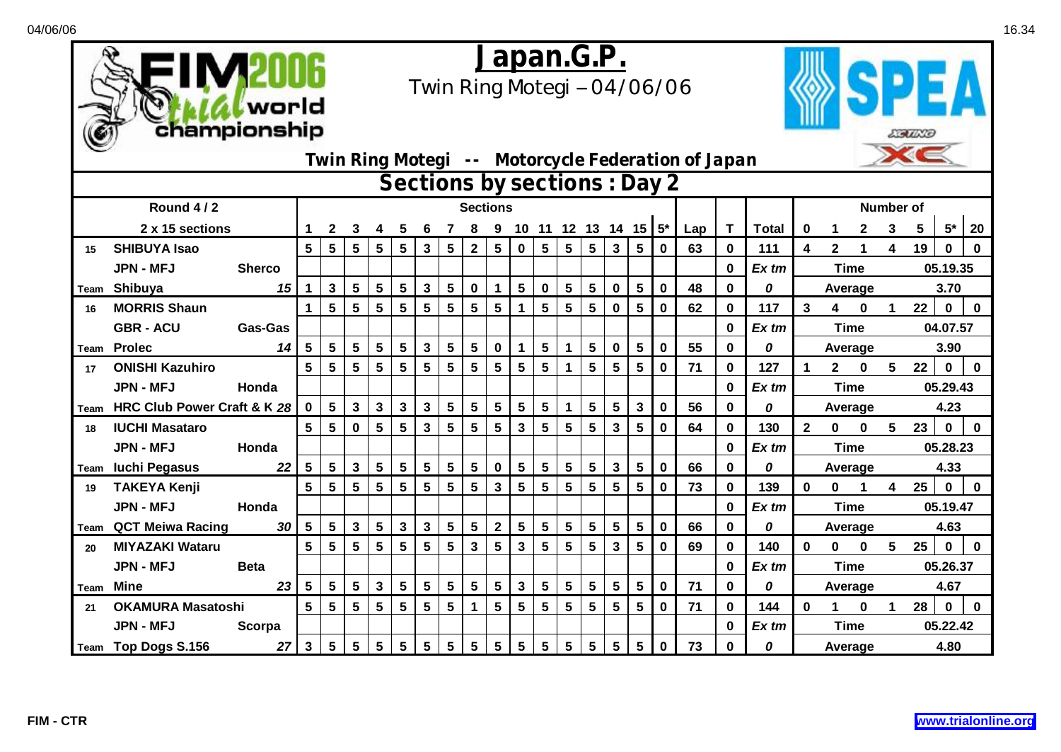



## *Japan.G.P.*

*Twin Ring Motegi -- 04/06/06*



| Sections by sections : Day 2 |                             |                |                 |                 |                 |                 |                 |                |                 |                |                 |                 |                 |                 |   |                 |                      |             |     |             |                  |                |              |             |   |                  |             |              |
|------------------------------|-----------------------------|----------------|-----------------|-----------------|-----------------|-----------------|-----------------|----------------|-----------------|----------------|-----------------|-----------------|-----------------|-----------------|---|-----------------|----------------------|-------------|-----|-------------|------------------|----------------|--------------|-------------|---|------------------|-------------|--------------|
|                              | Round 4/2                   |                |                 | <b>Sections</b> |                 |                 |                 |                |                 |                |                 |                 |                 |                 |   |                 |                      |             |     |             | <b>Number of</b> |                |              |             |   |                  |             |              |
|                              | 2 x 15 sections             |                |                 | 2               | 3               |                 |                 |                |                 |                | 9               | 10 <sup>°</sup> |                 |                 |   |                 | 11 12 13 14 15 $5^*$ |             | Lap | T           | <b>Total</b>     | 0              |              | 2           | 3 | 5                | $5*$        | 20           |
| 15                           | <b>SHIBUYA Isao</b>         |                | 5               | $5\phantom{.0}$ | 5               | 5               | $5\phantom{1}$  | 3              | 5               | $\overline{2}$ | 5               | $\mathbf 0$     | $5\phantom{.0}$ | 5               | 5 | 3               | 5                    | $\mathbf 0$ | 63  | 0           | 111              | 4              | $\mathbf{2}$ |             | 4 | 19               | $\mathbf 0$ | $\bf{0}$     |
|                              | <b>JPN - MFJ</b>            | <b>Sherco</b>  |                 |                 |                 |                 |                 |                |                 |                |                 |                 |                 |                 |   |                 |                      |             |     | $\bf{0}$    | Ex tm            |                |              | <b>Time</b> |   |                  | 05.19.35    |              |
| Team                         | Shibuya                     | 15             | $\mathbf 1$     | $\mathbf{3}$    | $5\phantom{.0}$ | $5\phantom{.0}$ | 5               | 3              | $5\phantom{.0}$ | $\mathbf 0$    | $\mathbf 1$     | 5               | $\mathbf 0$     | $5\phantom{.0}$ | 5 | 0               | 5                    | $\mathbf 0$ | 48  | $\mathbf 0$ | 0                |                |              | Average     |   |                  | 3.70        |              |
| 16                           | <b>MORRIS Shaun</b>         |                | 1               | $5\phantom{.0}$ | $5\phantom{.0}$ | $5\phantom{.0}$ | $5\phantom{.0}$ | 5              | $5\phantom{.0}$ | 5              | $5\phantom{.0}$ | 1               | $5\phantom{1}$  | $5\phantom{.0}$ | 5 | $\mathbf 0$     | $5\phantom{.0}$      | $\mathbf 0$ | 62  | $\bf{0}$    | 117              | 3              | 4            | $\bf{0}$    | 1 | 22               | $\mathbf 0$ | $\mathbf 0$  |
|                              | <b>GBR - ACU</b>            | <b>Gas-Gas</b> |                 |                 |                 |                 |                 |                |                 |                |                 |                 |                 |                 |   |                 |                      |             |     | $\bf{0}$    | Ex tm            |                |              | <b>Time</b> |   |                  | 04.07.57    |              |
| Team                         | <b>Prolec</b>               | 14             | 5               | $5\phantom{.0}$ | $5\overline{)}$ | 5               | $5\phantom{.0}$ | 3              | $5\phantom{.0}$ | 5              | $\bf{0}$        |                 | $5\phantom{.0}$ |                 | 5 | $\mathbf 0$     | $5\phantom{.0}$      | $\mathbf 0$ | 55  | 0           | 0                |                |              | Average     |   |                  | 3.90        |              |
| 17                           | <b>ONISHI Kazuhiro</b>      |                | 5               | $5\phantom{.0}$ | $5\phantom{.0}$ | 5               | 5               | 5              | 5               | 5              | 5               | $5\phantom{.0}$ | $5\phantom{.0}$ |                 | 5 | 5               | 5                    | $\mathbf 0$ | 71  | $\mathbf 0$ | 127              |                | $\mathbf{2}$ | $\bf{0}$    | 5 | 22               | $\mathbf 0$ | $\mathbf 0$  |
|                              | <b>JPN - MFJ</b>            | Honda          |                 |                 |                 |                 |                 |                |                 |                |                 |                 |                 |                 |   |                 |                      |             |     | $\bf{0}$    | Ex tm            |                |              | <b>Time</b> |   |                  | 05.29.43    |              |
| Team                         | HRC Club Power Craft & K 28 |                | $\mathbf{0}$    | 5               | $\mathbf{3}$    | $\mathbf{3}$    | 3               | 3              | 5               | 5              | 5               | $5\phantom{.0}$ | 5               |                 | 5 | 5               | 3                    | $\mathbf 0$ | 56  | 0           | 0                |                |              | Average     |   |                  | 4.23        |              |
| 18                           | <b>IUCHI Masataro</b>       |                | 5               | $5\phantom{.0}$ | $\mathbf 0$     | 5               | 5               | 3              | 5               | 5              | 5               | $\mathbf{3}$    | 5               | 5               | 5 | 3               | $5\phantom{1}$       | $\bf{0}$    | 64  | $\bf{0}$    | 130              | $\overline{2}$ | $\mathbf{0}$ | $\bf{0}$    | 5 | 23               | $\mathbf 0$ | $\mathbf{0}$ |
|                              | <b>JPN - MFJ</b>            | Honda          |                 |                 |                 |                 |                 |                |                 |                |                 |                 |                 |                 |   |                 |                      |             |     | $\bf{0}$    | Ex tm            |                |              | <b>Time</b> |   |                  | 05.28.23    |              |
| Team                         | <b>Iuchi Pegasus</b>        | 22             | 5               | $5\phantom{.0}$ | $\mathbf{3}$    | 5               | 5               | 5              | 5               | 5              | $\bf{0}$        | $5\phantom{.0}$ | $5\phantom{1}$  | 5               | 5 | 3               | 5                    | $\bf{0}$    | 66  | $\bf{0}$    | 0                |                |              | Average     |   |                  | 4.33        |              |
| 19                           | <b>TAKEYA Kenji</b>         |                | 5               | 5               | 5               | 5               | 5               | $5\phantom{1}$ | 5               | 5              | 3               | 5               | 5               | 5               | 5 | 5               | 5                    | $\bf{0}$    | 73  | $\bf{0}$    | 139              | O              | 0            |             | 4 | 25               | $\bf{0}$    | $\bf{0}$     |
|                              | <b>JPN - MFJ</b>            | Honda          |                 |                 |                 |                 |                 |                |                 |                |                 |                 |                 |                 |   |                 |                      |             |     | $\bf{0}$    | Ex tm            |                |              | <b>Time</b> |   |                  | 05.19.47    |              |
| Team                         | <b>QCT Meiwa Racing</b>     | 30             | $5\phantom{.0}$ | $5\phantom{.0}$ | $\mathbf{3}$    | 5               | $\mathbf{3}$    | 3              | 5               | 5              | 2 <sup>1</sup>  | 5               | 5               | $5\phantom{.0}$ | 5 | 5               | $5\phantom{.0}$      | $\mathbf 0$ | 66  | 0           | 0                |                |              | Average     |   |                  | 4.63        |              |
| 20                           | <b>MIYAZAKI Wataru</b>      |                | 5               | 5               | $5\phantom{.0}$ | 5               | 5               | 5              | 5               | 3              | 5               | 3               | 5               | 5               | 5 | 3               | 5                    | $\bf{0}$    | 69  | 0           | 140              | 0              | 0            | $\bf{0}$    | 5 | $25\phantom{.0}$ | $\mathbf 0$ | $\mathbf 0$  |
|                              | <b>JPN - MFJ</b>            | <b>Beta</b>    |                 |                 |                 |                 |                 |                |                 |                |                 |                 |                 |                 |   |                 |                      |             |     | 0           | Ex tm            |                |              | <b>Time</b> |   |                  | 05.26.37    |              |
| Team                         | Mine                        | 23             | $5\phantom{.0}$ | $5\phantom{.0}$ | $5\phantom{.0}$ | $\mathbf{3}$    | $5\phantom{.0}$ | $5\phantom{1}$ | 5               | 5              | $5\phantom{.0}$ | $\mathbf{3}$    | $5\phantom{a}$  | $5\phantom{.0}$ | 5 | $5\phantom{.0}$ | $5\phantom{.0}$      | $\mathbf 0$ | 71  | 0           | 0                |                |              | Average     |   |                  | 4.67        |              |
| 21                           | <b>OKAMURA Masatoshi</b>    |                | $5\phantom{.0}$ | $5\phantom{.0}$ | $5\phantom{a}$  | 5               | 5               | 5              | $5\phantom{.0}$ | $\mathbf 1$    | $5\phantom{.0}$ | 5               | $5\phantom{.0}$ | $5\phantom{1}$  | 5 | 5               | $5\phantom{.0}$      | $\mathbf 0$ | 71  | $\bf{0}$    | 144              | 0              |              | $\bf{0}$    |   | 28               | $\mathbf 0$ | $\bf{0}$     |
|                              | <b>JPN - MFJ</b>            | Scorpa         |                 |                 |                 |                 |                 |                |                 |                |                 |                 |                 |                 |   |                 |                      |             |     | $\bf{0}$    | Ex tm            |                |              | <b>Time</b> |   |                  | 05.22.42    |              |
|                              | Team Top Dogs S.156         | 27             | $\mathbf{3}$    | 5               | $5\phantom{.0}$ | 5               | $5\phantom{.0}$ | 5              | 5               | 5              | $5\phantom{.0}$ | 5               | $5\phantom{.0}$ | $5\phantom{.0}$ | 5 | $5\phantom{.0}$ | $5\phantom{.0}$      | $\bf{0}$    | 73  | 0           | 0                |                |              | Average     |   |                  | 4.80        |              |

*Twin Ring Motegi -- Motorcycle Federation of Japan*